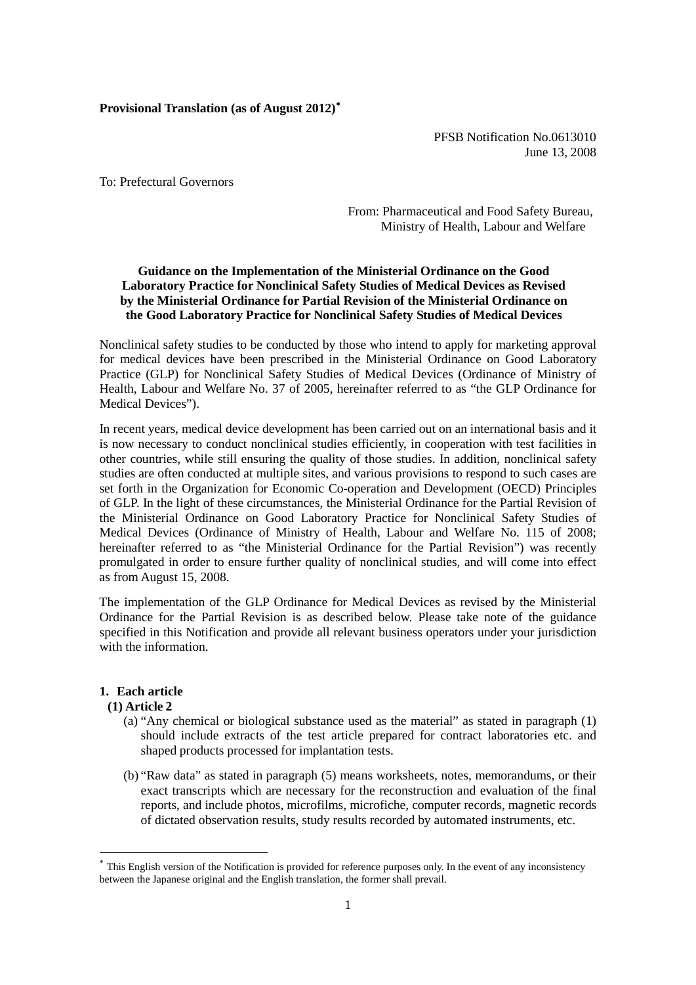# **Provisional Translation (as of August 2012)**[∗](#page-0-0)

PFSB Notification No.0613010 June 13, 2008

To: Prefectural Governors

From: Pharmaceutical and Food Safety Bureau, Ministry of Health, Labour and Welfare

# **Guidance on the Implementation of the Ministerial Ordinance on the Good Laboratory Practice for Nonclinical Safety Studies of Medical Devices as Revised by the Ministerial Ordinance for Partial Revision of the Ministerial Ordinance on the Good Laboratory Practice for Nonclinical Safety Studies of Medical Devices**

Nonclinical safety studies to be conducted by those who intend to apply for marketing approval for medical devices have been prescribed in the Ministerial Ordinance on Good Laboratory Practice (GLP) for Nonclinical Safety Studies of Medical Devices (Ordinance of Ministry of Health, Labour and Welfare No. 37 of 2005, hereinafter referred to as "the GLP Ordinance for Medical Devices").

In recent years, medical device development has been carried out on an international basis and it is now necessary to conduct nonclinical studies efficiently, in cooperation with test facilities in other countries, while still ensuring the quality of those studies. In addition, nonclinical safety studies are often conducted at multiple sites, and various provisions to respond to such cases are set forth in the Organization for Economic Co-operation and Development (OECD) Principles of GLP. In the light of these circumstances, the Ministerial Ordinance for the Partial Revision of the Ministerial Ordinance on Good Laboratory Practice for Nonclinical Safety Studies of Medical Devices (Ordinance of Ministry of Health, Labour and Welfare No. 115 of 2008; hereinafter referred to as "the Ministerial Ordinance for the Partial Revision") was recently promulgated in order to ensure further quality of nonclinical studies, and will come into effect as from August 15, 2008.

The implementation of the GLP Ordinance for Medical Devices as revised by the Ministerial Ordinance for the Partial Revision is as described below. Please take note of the guidance specified in this Notification and provide all relevant business operators under your jurisdiction with the information.

# **1. Each article**

# **(1) Article 2**

1

- (a) "Any chemical or biological substance used as the material" as stated in paragraph (1) should include extracts of the test article prepared for contract laboratories etc. and shaped products processed for implantation tests.
- (b) "Raw data" as stated in paragraph (5) means worksheets, notes, memorandums, or their exact transcripts which are necessary for the reconstruction and evaluation of the final reports, and include photos, microfilms, microfiche, computer records, magnetic records of dictated observation results, study results recorded by automated instruments, etc.

<span id="page-0-0"></span>This English version of the Notification is provided for reference purposes only. In the event of any inconsistency between the Japanese original and the English translation, the former shall prevail.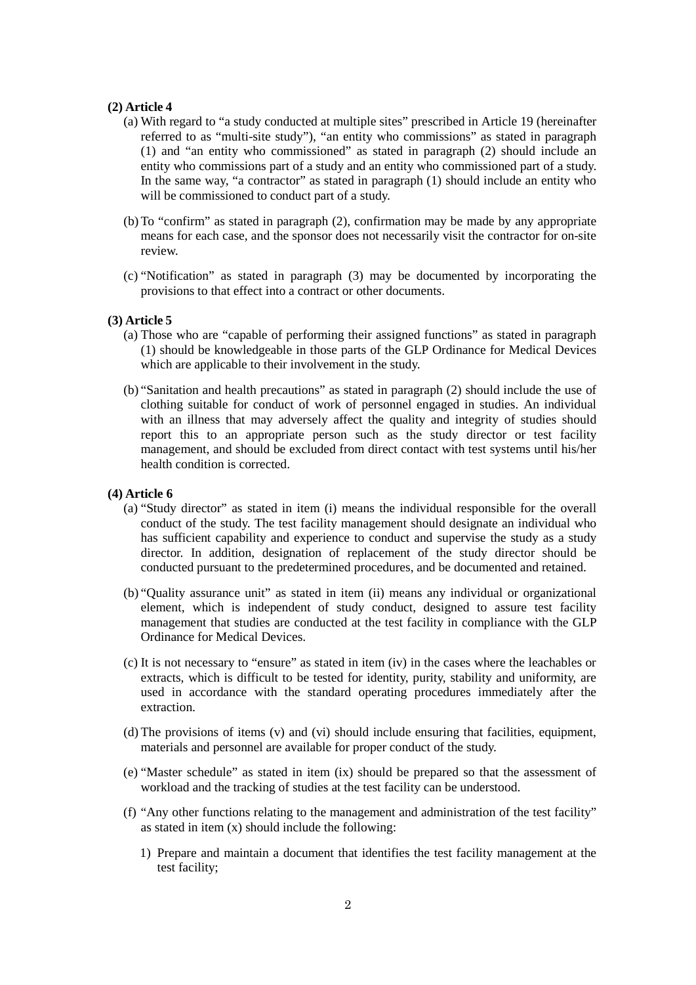#### **(2) Article 4**

- (a) With regard to "a study conducted at multiple sites" prescribed in Article 19 (hereinafter referred to as "multi-site study"), "an entity who commissions" as stated in paragraph (1) and "an entity who commissioned" as stated in paragraph (2) should include an entity who commissions part of a study and an entity who commissioned part of a study. In the same way, "a contractor" as stated in paragraph (1) should include an entity who will be commissioned to conduct part of a study.
- (b) To "confirm" as stated in paragraph (2), confirmation may be made by any appropriate means for each case, and the sponsor does not necessarily visit the contractor for on-site review.
- (c) "Notification" as stated in paragraph (3) may be documented by incorporating the provisions to that effect into a contract or other documents.

# **(3) Article 5**

- (a) Those who are "capable of performing their assigned functions" as stated in paragraph (1) should be knowledgeable in those parts of the GLP Ordinance for Medical Devices which are applicable to their involvement in the study.
- (b) "Sanitation and health precautions" as stated in paragraph (2) should include the use of clothing suitable for conduct of work of personnel engaged in studies. An individual with an illness that may adversely affect the quality and integrity of studies should report this to an appropriate person such as the study director or test facility management, and should be excluded from direct contact with test systems until his/her health condition is corrected.

# **(4) Article 6**

- (a) "Study director" as stated in item (i) means the individual responsible for the overall conduct of the study. The test facility management should designate an individual who has sufficient capability and experience to conduct and supervise the study as a study director. In addition, designation of replacement of the study director should be conducted pursuant to the predetermined procedures, and be documented and retained.
- (b) "Quality assurance unit" as stated in item (ii) means any individual or organizational element, which is independent of study conduct, designed to assure test facility management that studies are conducted at the test facility in compliance with the GLP Ordinance for Medical Devices.
- (c) It is not necessary to "ensure" as stated in item (iv) in the cases where the leachables or extracts, which is difficult to be tested for identity, purity, stability and uniformity, are used in accordance with the standard operating procedures immediately after the extraction.
- (d) The provisions of items (v) and (vi) should include ensuring that facilities, equipment, materials and personnel are available for proper conduct of the study.
- (e) "Master schedule" as stated in item (ix) should be prepared so that the assessment of workload and the tracking of studies at the test facility can be understood.
- (f) "Any other functions relating to the management and administration of the test facility" as stated in item (x) should include the following:
	- 1) Prepare and maintain a document that identifies the test facility management at the test facility;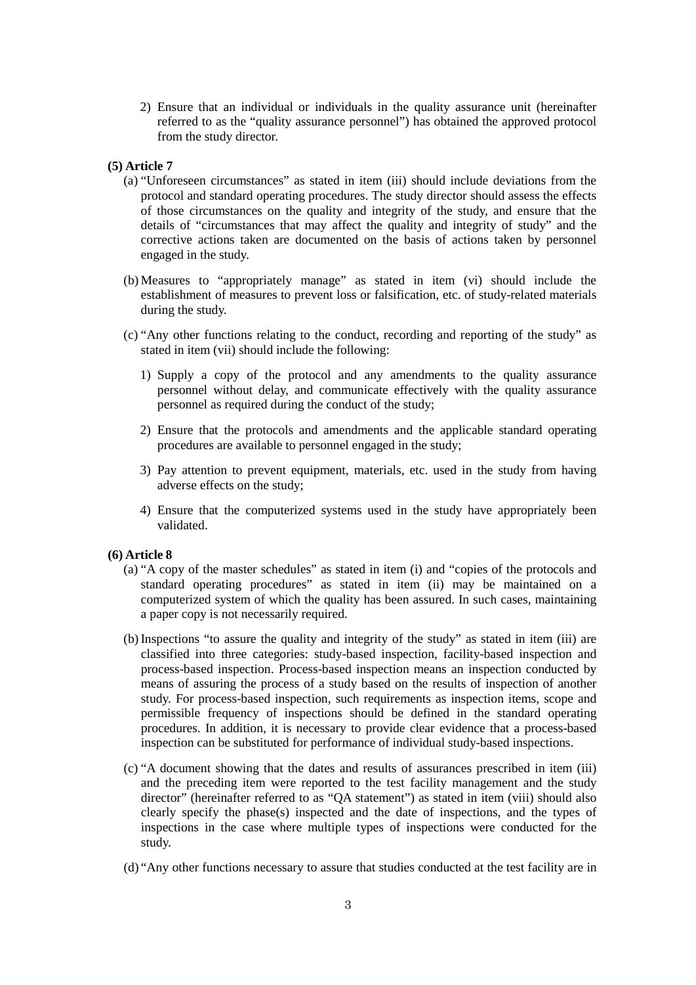2) Ensure that an individual or individuals in the quality assurance unit (hereinafter referred to as the "quality assurance personnel") has obtained the approved protocol from the study director.

# **(5) Article 7**

- (a) "Unforeseen circumstances" as stated in item (iii) should include deviations from the protocol and standard operating procedures. The study director should assess the effects of those circumstances on the quality and integrity of the study, and ensure that the details of "circumstances that may affect the quality and integrity of study" and the corrective actions taken are documented on the basis of actions taken by personnel engaged in the study.
- (b) Measures to "appropriately manage" as stated in item (vi) should include the establishment of measures to prevent loss or falsification, etc. of study-related materials during the study.
- (c) "Any other functions relating to the conduct, recording and reporting of the study" as stated in item (vii) should include the following:
	- 1) Supply a copy of the protocol and any amendments to the quality assurance personnel without delay, and communicate effectively with the quality assurance personnel as required during the conduct of the study;
	- 2) Ensure that the protocols and amendments and the applicable standard operating procedures are available to personnel engaged in the study;
	- 3) Pay attention to prevent equipment, materials, etc. used in the study from having adverse effects on the study;
	- 4) Ensure that the computerized systems used in the study have appropriately been validated.

# **(6) Article 8**

- (a) "A copy of the master schedules" as stated in item (i) and "copies of the protocols and standard operating procedures" as stated in item (ii) may be maintained on a computerized system of which the quality has been assured. In such cases, maintaining a paper copy is not necessarily required.
- (b) Inspections "to assure the quality and integrity of the study" as stated in item (iii) are classified into three categories: study-based inspection, facility-based inspection and process-based inspection. Process-based inspection means an inspection conducted by means of assuring the process of a study based on the results of inspection of another study. For process-based inspection, such requirements as inspection items, scope and permissible frequency of inspections should be defined in the standard operating procedures. In addition, it is necessary to provide clear evidence that a process-based inspection can be substituted for performance of individual study-based inspections.
- (c) "A document showing that the dates and results of assurances prescribed in item (iii) and the preceding item were reported to the test facility management and the study director" (hereinafter referred to as "QA statement") as stated in item (viii) should also clearly specify the phase(s) inspected and the date of inspections, and the types of inspections in the case where multiple types of inspections were conducted for the study.
- (d) "Any other functions necessary to assure that studies conducted at the test facility are in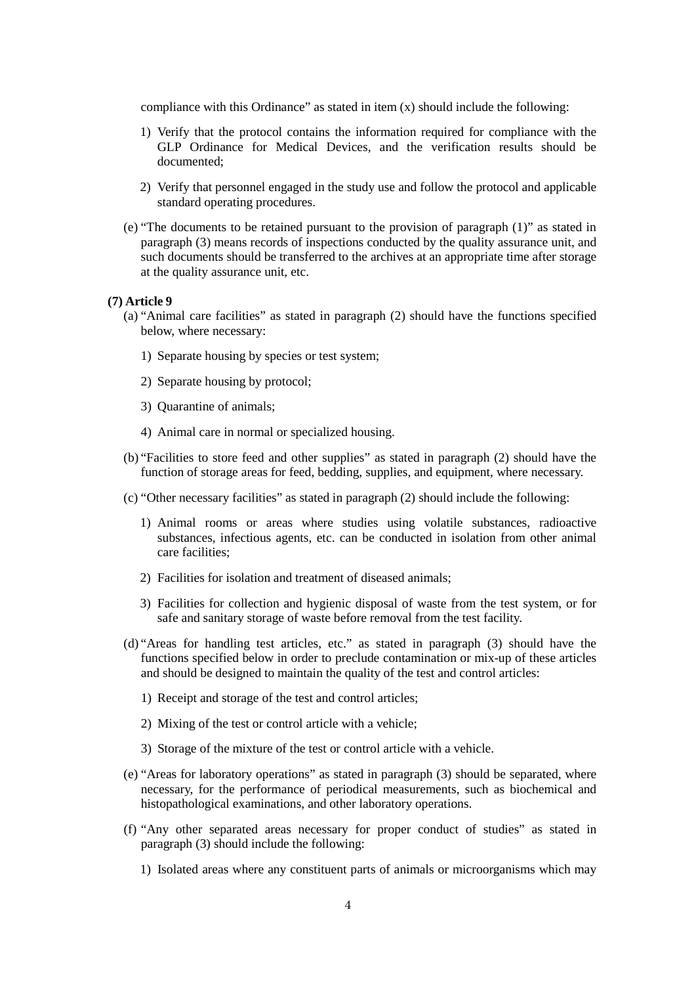compliance with this Ordinance" as stated in item  $(x)$  should include the following:

- 1) Verify that the protocol contains the information required for compliance with the GLP Ordinance for Medical Devices, and the verification results should be documented;
- 2) Verify that personnel engaged in the study use and follow the protocol and applicable standard operating procedures.
- (e) "The documents to be retained pursuant to the provision of paragraph (1)" as stated in paragraph (3) means records of inspections conducted by the quality assurance unit, and such documents should be transferred to the archives at an appropriate time after storage at the quality assurance unit, etc.

# **(7) Article 9**

- (a) "Animal care facilities" as stated in paragraph (2) should have the functions specified below, where necessary:
	- 1) Separate housing by species or test system;
	- 2) Separate housing by protocol;
	- 3) Quarantine of animals;
	- 4) Animal care in normal or specialized housing.
- (b) "Facilities to store feed and other supplies" as stated in paragraph (2) should have the function of storage areas for feed, bedding, supplies, and equipment, where necessary.
- (c) "Other necessary facilities" as stated in paragraph (2) should include the following:
	- 1) Animal rooms or areas where studies using volatile substances, radioactive substances, infectious agents, etc. can be conducted in isolation from other animal care facilities;
	- 2) Facilities for isolation and treatment of diseased animals;
	- 3) Facilities for collection and hygienic disposal of waste from the test system, or for safe and sanitary storage of waste before removal from the test facility.
- (d) "Areas for handling test articles, etc." as stated in paragraph (3) should have the functions specified below in order to preclude contamination or mix-up of these articles and should be designed to maintain the quality of the test and control articles:
	- 1) Receipt and storage of the test and control articles;
	- 2) Mixing of the test or control article with a vehicle;
	- 3) Storage of the mixture of the test or control article with a vehicle.
- (e) "Areas for laboratory operations" as stated in paragraph (3) should be separated, where necessary, for the performance of periodical measurements, such as biochemical and histopathological examinations, and other laboratory operations.
- (f) "Any other separated areas necessary for proper conduct of studies" as stated in paragraph (3) should include the following:
	- 1) Isolated areas where any constituent parts of animals or microorganisms which may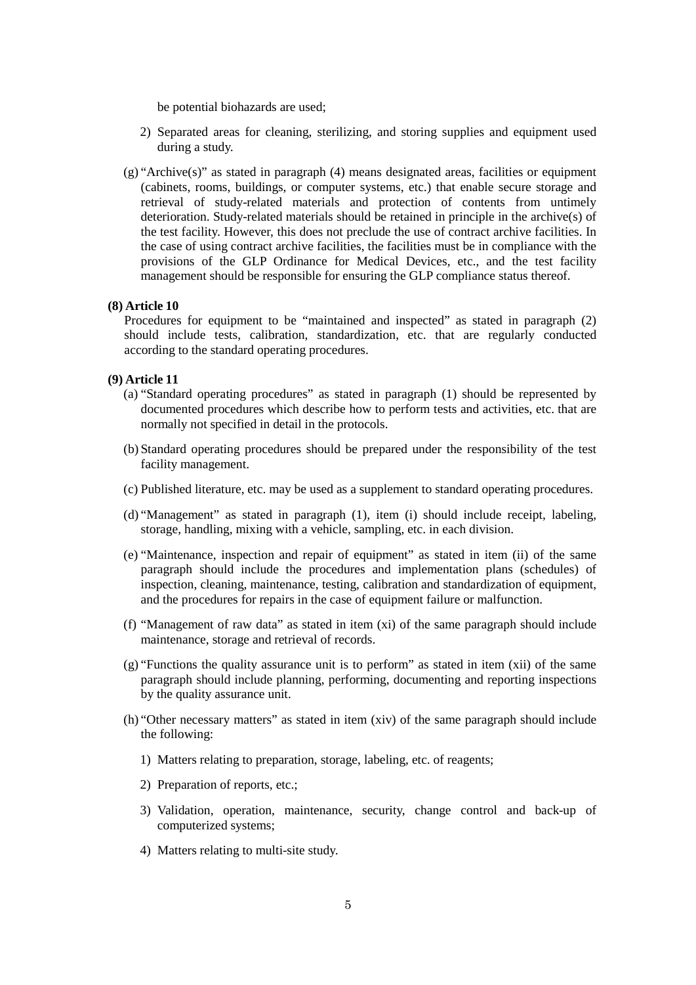be potential biohazards are used;

- 2) Separated areas for cleaning, sterilizing, and storing supplies and equipment used during a study.
- (g) "Archive(s)" as stated in paragraph (4) means designated areas, facilities or equipment (cabinets, rooms, buildings, or computer systems, etc.) that enable secure storage and retrieval of study-related materials and protection of contents from untimely deterioration. Study-related materials should be retained in principle in the archive(s) of the test facility. However, this does not preclude the use of contract archive facilities. In the case of using contract archive facilities, the facilities must be in compliance with the provisions of the GLP Ordinance for Medical Devices, etc., and the test facility management should be responsible for ensuring the GLP compliance status thereof.

#### **(8) Article 10**

Procedures for equipment to be "maintained and inspected" as stated in paragraph (2) should include tests, calibration, standardization, etc. that are regularly conducted according to the standard operating procedures.

# **(9) Article 11**

- (a) "Standard operating procedures" as stated in paragraph (1) should be represented by documented procedures which describe how to perform tests and activities, etc. that are normally not specified in detail in the protocols.
- (b) Standard operating procedures should be prepared under the responsibility of the test facility management.
- (c) Published literature, etc. may be used as a supplement to standard operating procedures.
- (d) "Management" as stated in paragraph (1), item (i) should include receipt, labeling, storage, handling, mixing with a vehicle, sampling, etc. in each division.
- (e) "Maintenance, inspection and repair of equipment" as stated in item (ii) of the same paragraph should include the procedures and implementation plans (schedules) of inspection, cleaning, maintenance, testing, calibration and standardization of equipment, and the procedures for repairs in the case of equipment failure or malfunction.
- (f) "Management of raw data" as stated in item (xi) of the same paragraph should include maintenance, storage and retrieval of records.
- (g) "Functions the quality assurance unit is to perform" as stated in item (xii) of the same paragraph should include planning, performing, documenting and reporting inspections by the quality assurance unit.
- (h) "Other necessary matters" as stated in item (xiv) of the same paragraph should include the following:
	- 1) Matters relating to preparation, storage, labeling, etc. of reagents;
	- 2) Preparation of reports, etc.;
	- 3) Validation, operation, maintenance, security, change control and back-up of computerized systems;
	- 4) Matters relating to multi-site study.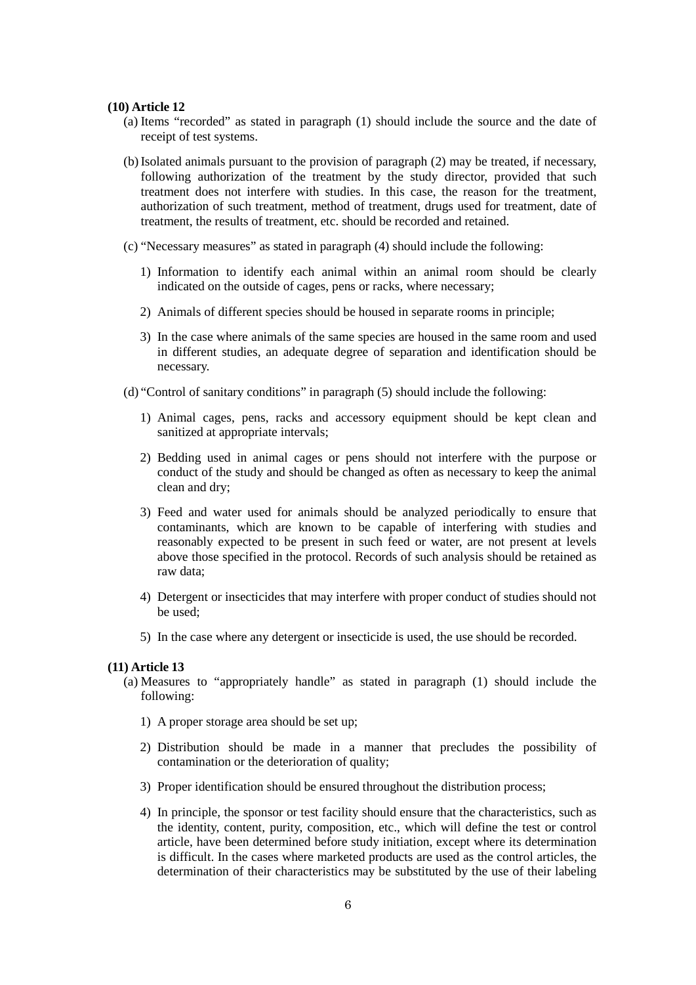#### **(10) Article 12**

- (a) Items "recorded" as stated in paragraph (1) should include the source and the date of receipt of test systems.
- (b) Isolated animals pursuant to the provision of paragraph (2) may be treated, if necessary, following authorization of the treatment by the study director, provided that such treatment does not interfere with studies. In this case, the reason for the treatment, authorization of such treatment, method of treatment, drugs used for treatment, date of treatment, the results of treatment, etc. should be recorded and retained.
- (c) "Necessary measures" as stated in paragraph (4) should include the following:
	- 1) Information to identify each animal within an animal room should be clearly indicated on the outside of cages, pens or racks, where necessary;
	- 2) Animals of different species should be housed in separate rooms in principle;
	- 3) In the case where animals of the same species are housed in the same room and used in different studies, an adequate degree of separation and identification should be necessary.
- (d) "Control of sanitary conditions" in paragraph (5) should include the following:
	- 1) Animal cages, pens, racks and accessory equipment should be kept clean and sanitized at appropriate intervals;
	- 2) Bedding used in animal cages or pens should not interfere with the purpose or conduct of the study and should be changed as often as necessary to keep the animal clean and dry;
	- 3) Feed and water used for animals should be analyzed periodically to ensure that contaminants, which are known to be capable of interfering with studies and reasonably expected to be present in such feed or water, are not present at levels above those specified in the protocol. Records of such analysis should be retained as raw data;
	- 4) Detergent or insecticides that may interfere with proper conduct of studies should not be used;
	- 5) In the case where any detergent or insecticide is used, the use should be recorded.

## **(11) Article 13**

- (a) Measures to "appropriately handle" as stated in paragraph (1) should include the following:
	- 1) A proper storage area should be set up;
	- 2) Distribution should be made in a manner that precludes the possibility of contamination or the deterioration of quality;
	- 3) Proper identification should be ensured throughout the distribution process;
	- 4) In principle, the sponsor or test facility should ensure that the characteristics, such as the identity, content, purity, composition, etc., which will define the test or control article, have been determined before study initiation, except where its determination is difficult. In the cases where marketed products are used as the control articles, the determination of their characteristics may be substituted by the use of their labeling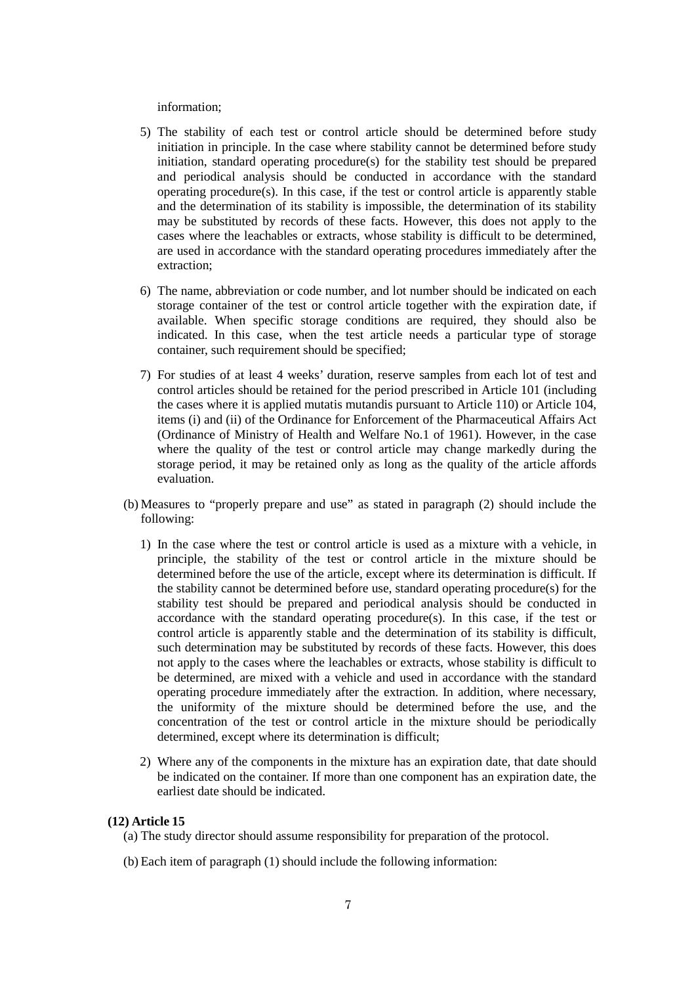#### information;

- 5) The stability of each test or control article should be determined before study initiation in principle. In the case where stability cannot be determined before study initiation, standard operating procedure(s) for the stability test should be prepared and periodical analysis should be conducted in accordance with the standard operating procedure(s). In this case, if the test or control article is apparently stable and the determination of its stability is impossible, the determination of its stability may be substituted by records of these facts. However, this does not apply to the cases where the leachables or extracts, whose stability is difficult to be determined, are used in accordance with the standard operating procedures immediately after the extraction;
- 6) The name, abbreviation or code number, and lot number should be indicated on each storage container of the test or control article together with the expiration date, if available. When specific storage conditions are required, they should also be indicated. In this case, when the test article needs a particular type of storage container, such requirement should be specified;
- 7) For studies of at least 4 weeks' duration, reserve samples from each lot of test and control articles should be retained for the period prescribed in Article 101 (including the cases where it is applied mutatis mutandis pursuant to Article 110) or Article 104, items (i) and (ii) of the Ordinance for Enforcement of the Pharmaceutical Affairs Act (Ordinance of Ministry of Health and Welfare No.1 of 1961). However, in the case where the quality of the test or control article may change markedly during the storage period, it may be retained only as long as the quality of the article affords evaluation.
- (b) Measures to "properly prepare and use" as stated in paragraph (2) should include the following:
	- 1) In the case where the test or control article is used as a mixture with a vehicle, in principle, the stability of the test or control article in the mixture should be determined before the use of the article, except where its determination is difficult. If the stability cannot be determined before use, standard operating procedure(s) for the stability test should be prepared and periodical analysis should be conducted in accordance with the standard operating procedure(s). In this case, if the test or control article is apparently stable and the determination of its stability is difficult, such determination may be substituted by records of these facts. However, this does not apply to the cases where the leachables or extracts, whose stability is difficult to be determined, are mixed with a vehicle and used in accordance with the standard operating procedure immediately after the extraction. In addition, where necessary, the uniformity of the mixture should be determined before the use, and the concentration of the test or control article in the mixture should be periodically determined, except where its determination is difficult;
	- 2) Where any of the components in the mixture has an expiration date, that date should be indicated on the container. If more than one component has an expiration date, the earliest date should be indicated.

## **(12) Article 15**

- (a) The study director should assume responsibility for preparation of the protocol.
- (b) Each item of paragraph (1) should include the following information: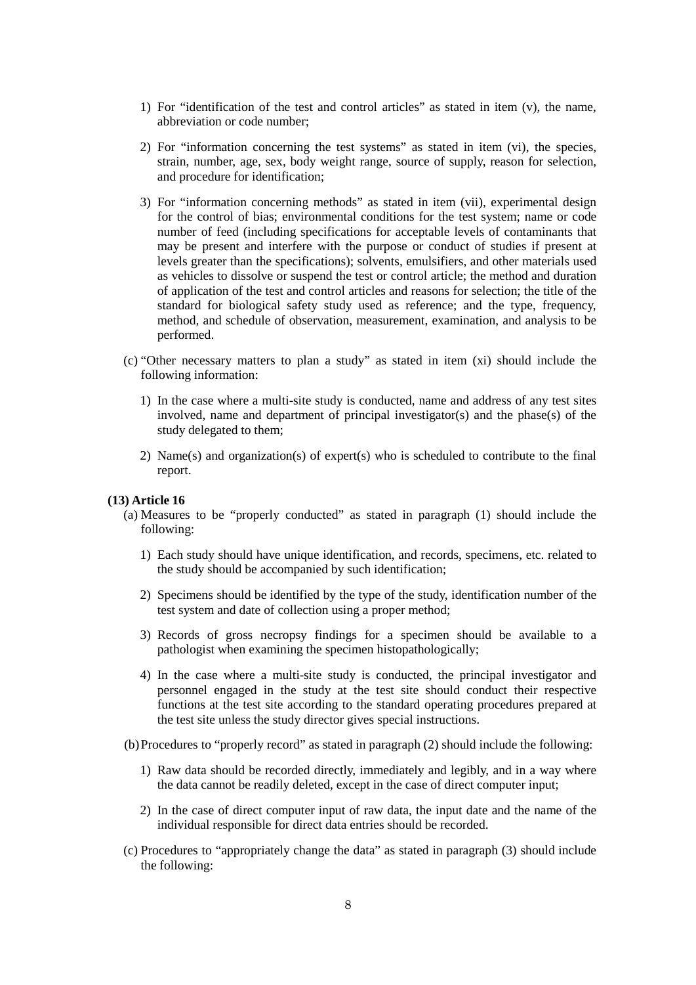- 1) For "identification of the test and control articles" as stated in item (v), the name, abbreviation or code number;
- 2) For "information concerning the test systems" as stated in item (vi), the species, strain, number, age, sex, body weight range, source of supply, reason for selection, and procedure for identification;
- 3) For "information concerning methods" as stated in item (vii), experimental design for the control of bias; environmental conditions for the test system; name or code number of feed (including specifications for acceptable levels of contaminants that may be present and interfere with the purpose or conduct of studies if present at levels greater than the specifications); solvents, emulsifiers, and other materials used as vehicles to dissolve or suspend the test or control article; the method and duration of application of the test and control articles and reasons for selection; the title of the standard for biological safety study used as reference; and the type, frequency, method, and schedule of observation, measurement, examination, and analysis to be performed.
- (c) "Other necessary matters to plan a study" as stated in item (xi) should include the following information:
	- 1) In the case where a multi-site study is conducted, name and address of any test sites involved, name and department of principal investigator(s) and the phase(s) of the study delegated to them;
	- 2) Name(s) and organization(s) of expert(s) who is scheduled to contribute to the final report.

# **(13) Article 16**

- (a) Measures to be "properly conducted" as stated in paragraph (1) should include the following:
	- 1) Each study should have unique identification, and records, specimens, etc. related to the study should be accompanied by such identification;
	- 2) Specimens should be identified by the type of the study, identification number of the test system and date of collection using a proper method;
	- 3) Records of gross necropsy findings for a specimen should be available to a pathologist when examining the specimen histopathologically;
	- 4) In the case where a multi-site study is conducted, the principal investigator and personnel engaged in the study at the test site should conduct their respective functions at the test site according to the standard operating procedures prepared at the test site unless the study director gives special instructions.
- (b)Procedures to "properly record" as stated in paragraph (2) should include the following:
	- 1) Raw data should be recorded directly, immediately and legibly, and in a way where the data cannot be readily deleted, except in the case of direct computer input;
	- 2) In the case of direct computer input of raw data, the input date and the name of the individual responsible for direct data entries should be recorded.
- (c) Procedures to "appropriately change the data" as stated in paragraph (3) should include the following: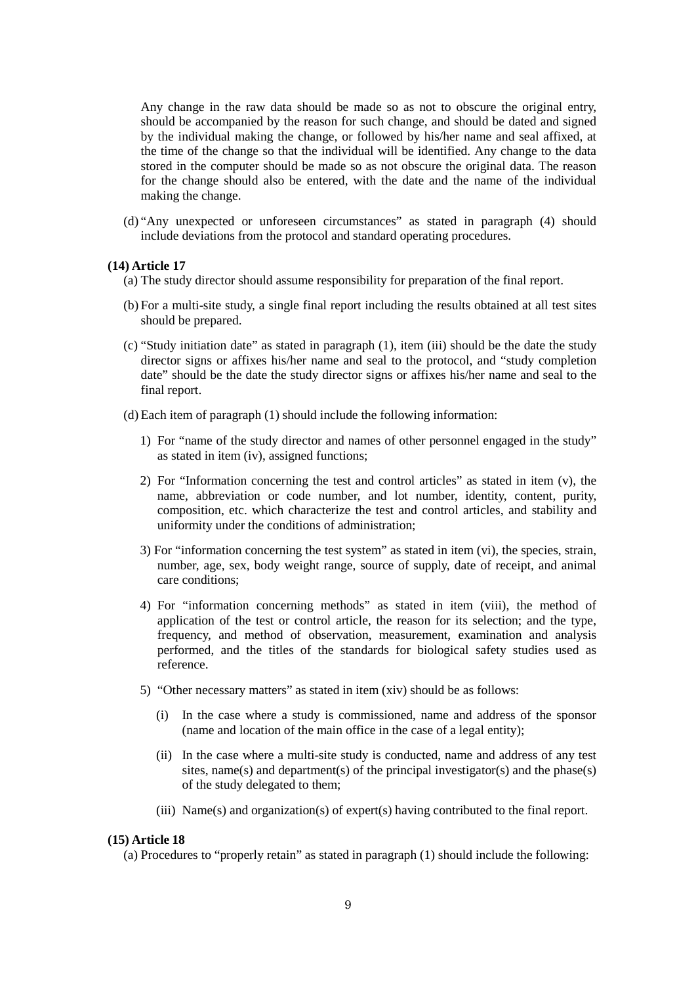Any change in the raw data should be made so as not to obscure the original entry, should be accompanied by the reason for such change, and should be dated and signed by the individual making the change, or followed by his/her name and seal affixed, at the time of the change so that the individual will be identified. Any change to the data stored in the computer should be made so as not obscure the original data. The reason for the change should also be entered, with the date and the name of the individual making the change.

(d) "Any unexpected or unforeseen circumstances" as stated in paragraph (4) should include deviations from the protocol and standard operating procedures.

#### **(14) Article 17**

(a) The study director should assume responsibility for preparation of the final report.

- (b) For a multi-site study, a single final report including the results obtained at all test sites should be prepared.
- (c) "Study initiation date" as stated in paragraph (1), item (iii) should be the date the study director signs or affixes his/her name and seal to the protocol, and "study completion date" should be the date the study director signs or affixes his/her name and seal to the final report.
- (d) Each item of paragraph (1) should include the following information:
	- 1) For "name of the study director and names of other personnel engaged in the study" as stated in item (iv), assigned functions;
	- 2) For "Information concerning the test and control articles" as stated in item (v), the name, abbreviation or code number, and lot number, identity, content, purity, composition, etc. which characterize the test and control articles, and stability and uniformity under the conditions of administration;
	- 3) For "information concerning the test system" as stated in item (vi), the species, strain, number, age, sex, body weight range, source of supply, date of receipt, and animal care conditions;
	- 4) For "information concerning methods" as stated in item (viii), the method of application of the test or control article, the reason for its selection; and the type, frequency, and method of observation, measurement, examination and analysis performed, and the titles of the standards for biological safety studies used as reference.
	- 5) "Other necessary matters" as stated in item (xiv) should be as follows:
		- (i) In the case where a study is commissioned, name and address of the sponsor (name and location of the main office in the case of a legal entity);
		- (ii) In the case where a multi-site study is conducted, name and address of any test sites, name(s) and department(s) of the principal investigator(s) and the phase(s) of the study delegated to them;
		- (iii) Name(s) and organization(s) of expert(s) having contributed to the final report.

#### **(15) Article 18**

(a) Procedures to "properly retain" as stated in paragraph (1) should include the following: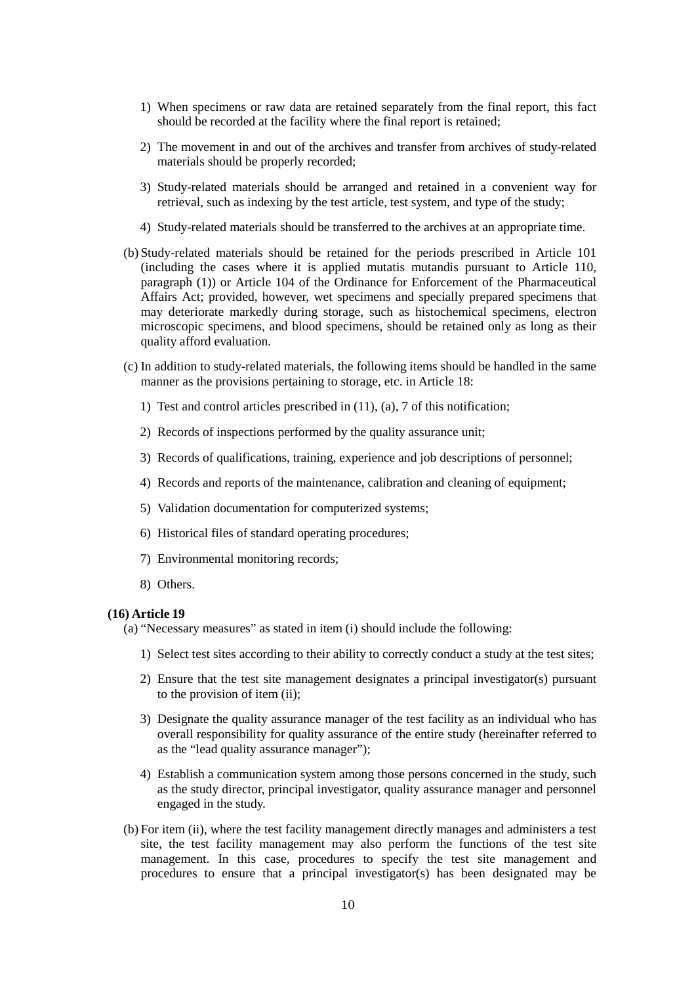- 1) When specimens or raw data are retained separately from the final report, this fact should be recorded at the facility where the final report is retained;
- 2) The movement in and out of the archives and transfer from archives of study-related materials should be properly recorded;
- 3) Study-related materials should be arranged and retained in a convenient way for retrieval, such as indexing by the test article, test system, and type of the study;
- 4) Study-related materials should be transferred to the archives at an appropriate time.
- (b) Study-related materials should be retained for the periods prescribed in Article 101 (including the cases where it is applied mutatis mutandis pursuant to Article 110, paragraph (1)) or Article 104 of the Ordinance for Enforcement of the Pharmaceutical Affairs Act; provided, however, wet specimens and specially prepared specimens that may deteriorate markedly during storage, such as histochemical specimens, electron microscopic specimens, and blood specimens, should be retained only as long as their quality afford evaluation.
- (c) In addition to study-related materials, the following items should be handled in the same manner as the provisions pertaining to storage, etc. in Article 18:
	- 1) Test and control articles prescribed in (11), (a), 7 of this notification;
	- 2) Records of inspections performed by the quality assurance unit;
	- 3) Records of qualifications, training, experience and job descriptions of personnel;
	- 4) Records and reports of the maintenance, calibration and cleaning of equipment;
	- 5) Validation documentation for computerized systems;
	- 6) Historical files of standard operating procedures;
	- 7) Environmental monitoring records;
	- 8) Others.

#### **(16) Article 19**

(a) "Necessary measures" as stated in item (i) should include the following:

- 1) Select test sites according to their ability to correctly conduct a study at the test sites;
- 2) Ensure that the test site management designates a principal investigator(s) pursuant to the provision of item (ii);
- 3) Designate the quality assurance manager of the test facility as an individual who has overall responsibility for quality assurance of the entire study (hereinafter referred to as the "lead quality assurance manager");
- 4) Establish a communication system among those persons concerned in the study, such as the study director, principal investigator, quality assurance manager and personnel engaged in the study.
- (b) For item (ii), where the test facility management directly manages and administers a test site, the test facility management may also perform the functions of the test site management. In this case, procedures to specify the test site management and procedures to ensure that a principal investigator(s) has been designated may be